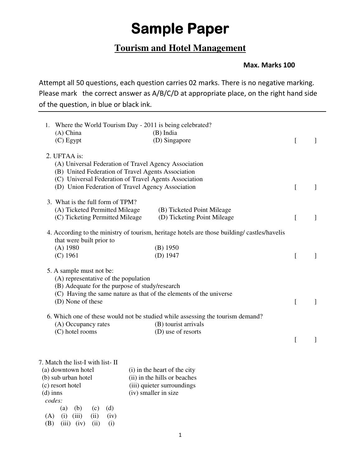## **Sample Paper**

## **Tourism and Hotel Management**

## **Max. Marks 100**

Attempt all 50 questions, each question carries 02 marks. There is no negative marking. Please mark the correct answer as A/B/C/D at appropriate place, on the right hand side of the question, in blue or black ink.

| 1. Where the World Tourism Day - 2011 is being celebrated?<br>$(A)$ China<br>$(C)$ Egypt                                                                                                                                                  | $(B)$ India<br>(D) Singapore                                                                                                 | L            | 1            |
|-------------------------------------------------------------------------------------------------------------------------------------------------------------------------------------------------------------------------------------------|------------------------------------------------------------------------------------------------------------------------------|--------------|--------------|
| 2. UFTAA is:<br>(A) Universal Federation of Travel Agency Association<br>(B) United Federation of Travel Agents Association<br>(C) Universal Federation of Travel Agents Association<br>(D) Union Federation of Travel Agency Association |                                                                                                                              | <sub>[</sub> | $\mathbf{I}$ |
| 3. What is the full form of TPM?<br>(A) Ticketed Permitted Mileage<br>(C) Ticketing Permitted Mileage                                                                                                                                     | (B) Ticketed Point Mileage<br>(D) Ticketing Point Mileage                                                                    | L            | $\mathbf{1}$ |
| that were built prior to<br>$(A)$ 1980<br>$(C)$ 1961                                                                                                                                                                                      | 4. According to the ministry of tourism, heritage hotels are those building/castles/havelis<br>$(B)$ 1950<br>$(D)$ 1947      | I            | $\mathbf{I}$ |
| 5. A sample must not be:<br>(A) representative of the population<br>(B) Adequate for the purpose of study/research<br>(D) None of these                                                                                                   | (C) Having the same nature as that of the elements of the universe                                                           | L            | $\mathbf{I}$ |
| (A) Occupancy rates<br>(C) hotel rooms                                                                                                                                                                                                    | 6. Which one of these would not be studied while assessing the tourism demand?<br>(B) tourist arrivals<br>(D) use of resorts | [            | $\mathbf{I}$ |
| 7. Match the list-I with list-II<br>(a) downtown hotel<br>(b) sub urban hotel<br>(c) resort hotel<br>$(d)$ inns<br>codes:<br>(d)<br>(a)<br>(b)<br>(c)<br>(iii)<br>(A)<br>(i)<br>(ii)<br>(iv)                                              | (i) in the heart of the city<br>(ii) in the hills or beaches<br>(iii) quieter surroundings<br>(iv) smaller in size           |              |              |

(B) (iii) (iv) (ii) (i)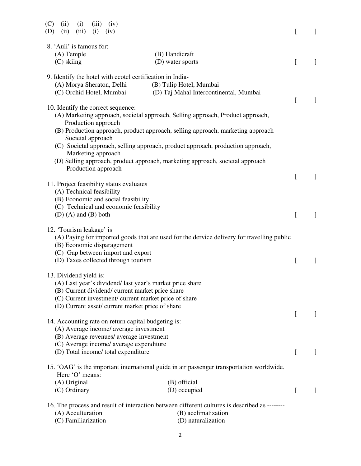| (C)<br>(i)<br>(iii)<br>(ii)<br>(iv)<br>(ii)<br>(iii)<br>(i)<br>(D)<br>(iv)                                |                                                                                               |          |                |
|-----------------------------------------------------------------------------------------------------------|-----------------------------------------------------------------------------------------------|----------|----------------|
| 8. 'Auli' is famous for:                                                                                  |                                                                                               |          |                |
| $(A)$ Temple                                                                                              | (B) Handicraft                                                                                |          |                |
| $(C)$ skiing                                                                                              | (D) water sports                                                                              | L        | 1              |
| 9. Identify the hotel with ecotel certification in India-                                                 |                                                                                               |          |                |
| (A) Morya Sheraton, Delhi                                                                                 | (B) Tulip Hotel, Mumbai                                                                       |          |                |
| (C) Orchid Hotel, Mumbai                                                                                  | (D) Taj Mahal Intercontinental, Mumbai                                                        |          |                |
| 10. Identify the correct sequence:                                                                        |                                                                                               | L        | $\perp$        |
|                                                                                                           | (A) Marketing approach, societal approach, Selling approach, Product approach,                |          |                |
| Production approach                                                                                       |                                                                                               |          |                |
| Societal approach                                                                                         | (B) Production approach, product approach, selling approach, marketing approach               |          |                |
|                                                                                                           | (C) Societal approach, selling approach, product approach, production approach,               |          |                |
| Marketing approach                                                                                        |                                                                                               |          |                |
|                                                                                                           | (D) Selling approach, product approach, marketing approach, societal approach                 |          |                |
| Production approach                                                                                       |                                                                                               | L        | $\overline{1}$ |
| 11. Project feasibility status evaluates                                                                  |                                                                                               |          |                |
| (A) Technical feasibility                                                                                 |                                                                                               |          |                |
| (B) Economic and social feasibility                                                                       |                                                                                               |          |                |
| (C) Technical and economic feasibility                                                                    |                                                                                               |          |                |
| $(D)$ (A) and $(B)$ both                                                                                  |                                                                                               |          |                |
| 12. 'Tourism leakage' is                                                                                  |                                                                                               |          |                |
|                                                                                                           | (A) Paying for imported goods that are used for the dervice delivery for travelling public    |          |                |
| (B) Economic disparagement                                                                                |                                                                                               |          |                |
| (C) Gap between import and export                                                                         |                                                                                               |          |                |
| (D) Taxes collected through tourism                                                                       |                                                                                               |          |                |
| 13. Dividend yield is:                                                                                    |                                                                                               |          |                |
| (A) Last year's dividend/ last year's market price share                                                  |                                                                                               |          |                |
| (B) Current dividend/ current market price share                                                          |                                                                                               |          |                |
| (C) Current investment/ current market price of share<br>(D) Current asset/ current market price of share |                                                                                               |          |                |
|                                                                                                           |                                                                                               | $\Gamma$ |                |
| 14. Accounting rate on return capital budgeting is:                                                       |                                                                                               |          |                |
| (A) Average income/ average investment                                                                    |                                                                                               |          |                |
| (B) Average revenues/ average investment                                                                  |                                                                                               |          |                |
| (C) Average income/ average expenditure                                                                   |                                                                                               |          |                |
| (D) Total income/ total expenditure                                                                       |                                                                                               | $\Gamma$ |                |
|                                                                                                           | 15. 'OAG' is the important international guide in air passenger transportation worldwide.     |          |                |
| Here 'O' means:                                                                                           |                                                                                               |          |                |
| (A) Original                                                                                              | (B) official                                                                                  |          |                |
| (C) Ordinary                                                                                              | (D) occupied                                                                                  | L        |                |
|                                                                                                           | 16. The process and result of interaction between different cultures is described as -------- |          |                |
| (A) Acculturation                                                                                         | (B) acclimatization                                                                           |          |                |
| (C) Familiarization                                                                                       | (D) naturalization                                                                            |          |                |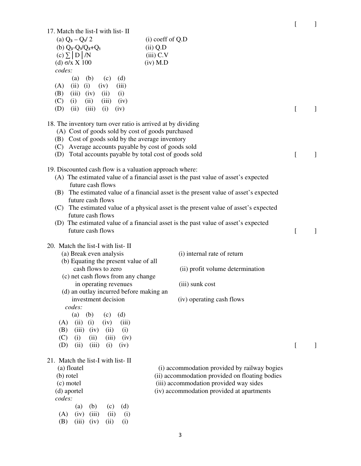| 17. Match the list-I with list-II                                                                               |                                                                                       | ſ | 1            |
|-----------------------------------------------------------------------------------------------------------------|---------------------------------------------------------------------------------------|---|--------------|
| (a) $Q_3 - Q_1/2$                                                                                               | $(i)$ coeff of Q.D                                                                    |   |              |
| (b) $Q_3 - Q_1/Q_3 + Q_1$                                                                                       | $(ii)$ Q.D                                                                            |   |              |
| $(c) \sum  D /N$                                                                                                | $(iii)$ C.V                                                                           |   |              |
| $(d)$ σ/x $X$ 100                                                                                               | $(iv)$ M.D                                                                            |   |              |
| codes:                                                                                                          |                                                                                       |   |              |
| (a)<br>(b)<br>(c)<br>(d)                                                                                        |                                                                                       |   |              |
| (i)<br>(ii)<br>(iv)<br>(A)<br>(iii)                                                                             |                                                                                       |   |              |
| $(iii)$ $(iv)$<br>(B)<br>(ii)<br>(i)                                                                            |                                                                                       |   |              |
| (C)<br>(i)<br>(ii)<br>(iii)<br>(iv)                                                                             |                                                                                       |   |              |
| (iii)<br>(D)<br>(ii)<br>(i)<br>(iv)                                                                             |                                                                                       | I | $\perp$      |
| 18. The inventory turn over ratio is arrived at by dividing                                                     |                                                                                       |   |              |
| (A) Cost of goods sold by cost of goods purchased<br>(B) Cost of goods sold by the average inventory            |                                                                                       |   |              |
| (C) Average accounts payable by cost of goods sold                                                              |                                                                                       |   |              |
| (D) Total accounts payable by total cost of goods sold                                                          |                                                                                       | ſ | $\perp$      |
| 19. Discounted cash flow is a valuation approach where:                                                         |                                                                                       |   |              |
| future cash flows                                                                                               | (A) The estimated value of a financial asset is the past value of asset's expected    |   |              |
|                                                                                                                 | (B) The estimated value of a financial asset is the present value of asset's expected |   |              |
| future cash flows                                                                                               |                                                                                       |   |              |
|                                                                                                                 | (C) The estimated value of a physical asset is the present value of asset's expected  |   |              |
| future cash flows                                                                                               |                                                                                       |   |              |
| future cash flows                                                                                               | (D) The estimated value of a financial asset is the past value of asset's expected    | L | $\perp$      |
|                                                                                                                 |                                                                                       |   |              |
| 20. Match the list-I with list-II<br>(a) Break even analysis                                                    | (i) internal rate of return                                                           |   |              |
| (b) Equating the present value of all                                                                           |                                                                                       |   |              |
| cash flows to zero                                                                                              | (ii) profit volume determination                                                      |   |              |
| (c) net cash flows from any change                                                                              |                                                                                       |   |              |
|                                                                                                                 | (iii) sunk cost                                                                       |   |              |
| in operating revenues                                                                                           |                                                                                       |   |              |
| (d) an outlay incurred before making an                                                                         |                                                                                       |   |              |
| investment decision                                                                                             | (iv) operating cash flows                                                             |   |              |
| codes:<br>(a)<br>(d)<br>(b)<br>(c)                                                                              |                                                                                       |   |              |
| (ii)<br>(i)<br>(iv)<br>(A)<br>(iii)                                                                             |                                                                                       |   |              |
| (B)<br>(iii)<br>(i)<br>(iv)<br>(ii)                                                                             |                                                                                       |   |              |
| (C)<br>(i)<br>(ii)<br>(iii)<br>(iv)                                                                             |                                                                                       |   |              |
| (D)<br>(ii)<br>(iii)<br>(i)<br>(iv)                                                                             |                                                                                       | ſ | $\mathbf{I}$ |
|                                                                                                                 |                                                                                       |   |              |
| (a) floatel                                                                                                     | (i) accommodation provided by railway bogies                                          |   |              |
| (b) rotel                                                                                                       | (ii) accommodation provided on floating bodies                                        |   |              |
| (c) motel                                                                                                       | (iii) accommodation provided way sides                                                |   |              |
| (d) aportel                                                                                                     | (iv) accommodation provided at apartments                                             |   |              |
| codes:                                                                                                          |                                                                                       |   |              |
| (a)<br>(b)<br>(c)<br>(d)                                                                                        |                                                                                       |   |              |
| 21. Match the list-I with list-II<br>(iv)<br>(iii)<br>(ii)<br>(A)<br>(i)<br>(B)<br>(iii)<br>(iv)<br>(ii)<br>(i) |                                                                                       |   |              |

3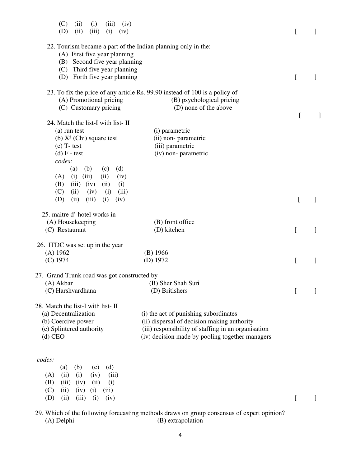| (C)<br>(ii)<br>(iii)<br>(i)<br>(iv)<br>(D)<br>(ii)<br>(iii)<br>(i)<br>(iv)                                                     |                                                                                            | L         |   |
|--------------------------------------------------------------------------------------------------------------------------------|--------------------------------------------------------------------------------------------|-----------|---|
| 22. Tourism became a part of the Indian planning only in the:<br>(A) First five year planning<br>(B) Second five year planning |                                                                                            |           |   |
| (C) Third five year planning                                                                                                   |                                                                                            |           |   |
| (D) Forth five year planning                                                                                                   |                                                                                            | ſ         | 1 |
| 23. To fix the price of any article Rs. 99.90 instead of 100 is a policy of                                                    |                                                                                            |           |   |
| (A) Promotional pricing                                                                                                        | (B) psychological pricing                                                                  |           |   |
| (C) Customary pricing                                                                                                          | (D) none of the above                                                                      | ſ         |   |
| 24. Match the list-I with list-II                                                                                              |                                                                                            |           |   |
| (a) run test                                                                                                                   | (i) parametric                                                                             |           |   |
| (b) $X^2$ (Chi) square test                                                                                                    | (ii) non-parametric                                                                        |           |   |
| $(c)$ T-test                                                                                                                   | (iii) parametric                                                                           |           |   |
| $(d)$ F - test                                                                                                                 | (iv) non- parametric                                                                       |           |   |
| codes:                                                                                                                         |                                                                                            |           |   |
| (a)<br>(b)<br>(c)<br>(d)                                                                                                       |                                                                                            |           |   |
| (iii)<br>(i)<br>(A)<br>(ii)<br>(iv)<br>(iii)<br>(iv)<br>(B)<br>(ii)<br>(i)                                                     |                                                                                            |           |   |
| (C)<br>(ii)<br>(iv)<br>(i)<br>(iii)                                                                                            |                                                                                            |           |   |
| (ii)<br>(iii)<br>(D)<br>(i)<br>(iv)                                                                                            |                                                                                            | L         |   |
|                                                                                                                                |                                                                                            |           |   |
| 25. maitre d'hotel works in<br>(A) Housekeeping                                                                                | (B) front office                                                                           |           |   |
| (C) Restaurant                                                                                                                 | (D) kitchen                                                                                | ſ         |   |
|                                                                                                                                |                                                                                            |           |   |
| 26. ITDC was set up in the year                                                                                                |                                                                                            |           |   |
| (A) 1962                                                                                                                       | $(B)$ 1966                                                                                 |           |   |
| $(C)$ 1974                                                                                                                     | $(D)$ 1972                                                                                 | [         |   |
| 27. Grand Trunk road was got constructed by                                                                                    |                                                                                            |           |   |
| (A) Akbar                                                                                                                      | (B) Sher Shah Suri                                                                         |           |   |
| (C) Harshvardhana                                                                                                              | (D) Britishers                                                                             | $\lfloor$ |   |
| 28. Match the list-I with list-II                                                                                              |                                                                                            |           |   |
| (a) Decentralization                                                                                                           | (i) the act of punishing subordinates                                                      |           |   |
| (b) Coercive power                                                                                                             | (ii) dispersal of decision making authority                                                |           |   |
| (c) Splintered authority                                                                                                       | (iii) responsibility of staffing in an organisation                                        |           |   |
| $(d)$ CEO                                                                                                                      | (iv) decision made by pooling together managers                                            |           |   |
|                                                                                                                                |                                                                                            |           |   |
| codes:                                                                                                                         |                                                                                            |           |   |
| (b)<br>(d)<br>(c)<br>(a)                                                                                                       |                                                                                            |           |   |
| (ii)<br>(i)<br>(iv)<br>(A)<br>(iii)                                                                                            |                                                                                            |           |   |
| (B)<br>(iii)<br>(iv)<br>(ii)<br>(i)                                                                                            |                                                                                            |           |   |
| (C)<br>(ii)<br>(iv)<br>(i)<br>(iii)                                                                                            |                                                                                            |           |   |
| (D)<br>(ii)<br>(iii)<br>(i)<br>(iv)                                                                                            |                                                                                            | [         | ] |
|                                                                                                                                | 29. Which of the following forecasting methods draws on group consensus of expert opinion? |           |   |
| (A) Delphi                                                                                                                     | (B) extrapolation                                                                          |           |   |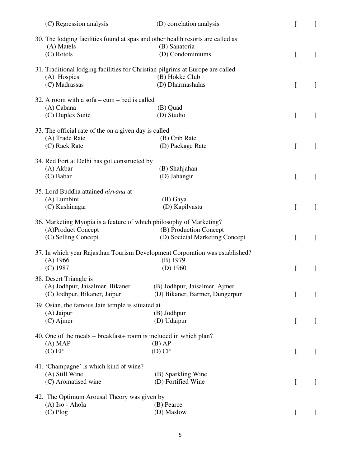| (C) Regression analysis                                   | (D) correlation analysis                                                                         |                  |              |
|-----------------------------------------------------------|--------------------------------------------------------------------------------------------------|------------------|--------------|
| (A) Matels                                                | 30. The lodging facilities found at spas and other health resorts are called as<br>(B) Sanatoria |                  |              |
| (C) Rotels                                                | (D) Condominiums                                                                                 | <sup>[</sup>     | 1            |
| (A) Hospics                                               | 31. Traditional lodging facilities for Christian pilgrims at Europe are called<br>(B) Hokke Club |                  |              |
| (C) Madrassas                                             | (D) Dharmashalas                                                                                 | $\left[ \right]$ | $\mathbf{I}$ |
| 32. A room with a sofa $-\text{cum}-\text{bed}$ is called |                                                                                                  |                  |              |
| (A) Cabana<br>(C) Duplex Suite                            | (B) Quad<br>(D) Studio                                                                           | $\left[ \right]$ |              |
|                                                           |                                                                                                  |                  |              |
| 33. The official rate of the on a given day is called     |                                                                                                  |                  |              |
| (A) Trade Rate                                            | (B) Crib Rate                                                                                    |                  |              |
| (C) Rack Rate                                             | (D) Package Rate                                                                                 |                  |              |
| 34. Red Fort at Delhi has got constructed by              |                                                                                                  |                  |              |
| (A) Akbar                                                 | (B) Shahjahan                                                                                    |                  |              |
| (C) Babar                                                 | (D) Jahangir                                                                                     | $\mathbf{r}$     | ]            |
| 35. Lord Buddha attained nirvana at                       |                                                                                                  |                  |              |
| (A) Lumbini                                               | (B) Gaya                                                                                         |                  |              |
| (C) Kushinagar                                            | (D) Kapilvastu                                                                                   | <sub>[</sub>     |              |
|                                                           | 36. Marketing Myopia is a feature of which philosophy of Marketing?                              |                  |              |
| (A)Product Concept                                        | (B) Production Concept                                                                           |                  |              |
| (C) Selling Concept                                       | (D) Societal Marketing Concept                                                                   | [                | 1            |
|                                                           | 37. In which year Rajasthan Tourism Development Corporation was established?                     |                  |              |
| $(A)$ 1966                                                | $(B)$ 1979                                                                                       |                  |              |
| $(C)$ 1987                                                | $(D)$ 1960                                                                                       | $\left[ \right]$ | ]            |
| 38. Desert Triangle is                                    |                                                                                                  |                  |              |
| (A) Jodhpur, Jaisalmer, Bikaner                           | (B) Jodhpur, Jaisalmer, Ajmer                                                                    |                  |              |
| (C) Jodhpur, Bikaner, Jaipur                              | (D) Bikaner, Barmer, Dungerpur                                                                   |                  |              |
| 39. Osian, the famous Jain temple is situated at          |                                                                                                  |                  |              |
| $(A)$ Jaipur                                              | (B) Jodhpur                                                                                      |                  |              |
| $(C)$ Ajmer                                               | (D) Udaipur                                                                                      | $\left[ \right]$ |              |
|                                                           | 40. One of the meals $+$ breakfast $+$ room is included in which plan?                           |                  |              |
| $(A)$ MAP                                                 | $(B)$ AP                                                                                         |                  |              |
| $(C)$ EP                                                  | $(D)$ CP                                                                                         | $\left[ \right]$ |              |
| 41. 'Champagne' is which kind of wine?                    |                                                                                                  |                  |              |
| (A) Still Wine                                            | (B) Sparkling Wine                                                                               |                  |              |
| (C) Aromatised wine                                       | (D) Fortified Wine                                                                               |                  |              |
| 42. The Optimum Arousal Theory was given by               |                                                                                                  |                  |              |
| (A) Iso - Ahola                                           | (B) Pearce                                                                                       |                  |              |
| $(C)$ Plog                                                | (D) Maslow                                                                                       |                  |              |